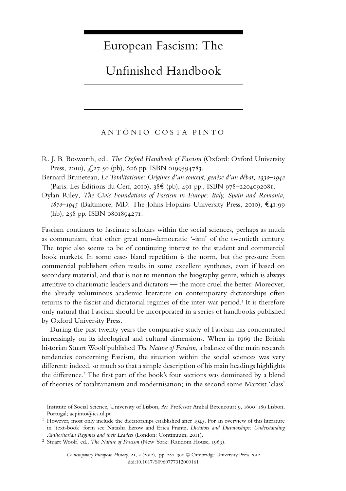European Fascism: The

# Unfinished Handbook

## ANTÓNIO COSTA PINTO

- R. J. B. Bosworth, ed., *The Oxford Handbook of Fascism* (Oxford: Oxford University Press, 2010),  $\zeta$ , 27.50 (pb), 626 pp. ISBN 0199594783.
- Bernard Bruneteau, *Le Totalitarisme: Origines d'un concept, genèse d'un débat, 1930–1942* (Paris: Les Éditions du Cerf, 2010), 38€ (pb), 491 pp., ISBN 978–2204092081.
- Dylan Riley, *The Civic Foundations of Fascism in Europe: Italy, Spain and Romania, 1870–1945* (Baltimore, MD: The Johns Hopkins University Press, 2010), €41.99 (hb), 258 pp. ISBN 0801894271.

Fascism continues to fascinate scholars within the social sciences, perhaps as much as communism, that other great non-democratic '-ism' of the twentieth century. The topic also seems to be of continuing interest to the student and commercial book markets. In some cases bland repetition is the norm, but the pressure from commercial publishers often results in some excellent syntheses, even if based on secondary material, and that is not to mention the biography genre, which is always attentive to charismatic leaders and dictators — the more cruel the better. Moreover, the already voluminous academic literature on contemporary dictatorships often returns to the fascist and dictatorial regimes of the inter-war period.<sup>1</sup> It is therefore only natural that Fascism should be incorporated in a series of handbooks published by Oxford University Press.

During the past twenty years the comparative study of Fascism has concentrated increasingly on its ideological and cultural dimensions. When in 1969 the British historian Stuart Woolf published *The Nature of Fascism*, a balance of the main research tendencies concerning Fascism, the situation within the social sciences was very different: indeed, so much so that a simple description of his main headings highlights the difference.2 The first part of the book's four sections was dominated by a blend of theories of totalitarianism and modernisation; in the second some Marxist 'class'

<sup>2</sup> Stuart Woolf, ed., *The Nature of Fascism* (New York: Random House, 1969).

Institute of Social Science, University of Lisbon, Av. Professor Anibal Betencourt 9, 1600–189 Lisbon, Portugal; acpinto@ics.ul.pt

 $1$  However, most only include the dictatorships established after 1945. For an overview of this literature in 'text-book' form see Natasha Ezrow and Erica Frantz, *Dictators and Dictatorships: Understanding Authoritarian Regimes and their Leaders* (London: Continuum, 2011).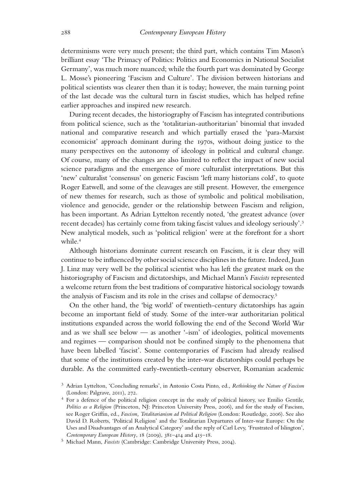determinisms were very much present; the third part, which contains Tim Mason's brilliant essay 'The Primacy of Politics: Politics and Economics in National Socialist Germany', was much more nuanced; while the fourth part was dominated by George L. Mosse's pioneering 'Fascism and Culture'. The division between historians and political scientists was clearer then than it is today; however, the main turning point of the last decade was the cultural turn in fascist studies, which has helped refine earlier approaches and inspired new research.

During recent decades, the historiography of Fascism has integrated contributions from political science, such as the 'totalitarian-authoritarian' binomial that invaded national and comparative research and which partially erased the 'para-Marxist economicist' approach dominant during the 1970s, without doing justice to the many perspectives on the autonomy of ideology in political and cultural change. Of course, many of the changes are also limited to reflect the impact of new social science paradigms and the emergence of more culturalist interpretations. But this 'new' culturalist 'consensus' on generic Fascism 'left many historians cold', to quote Roger Eatwell, and some of the cleavages are still present. However, the emergence of new themes for research, such as those of symbolic and political mobilisation, violence and genocide, gender or the relationship between Fascism and religion, has been important. As Adrian Lyttelton recently noted, 'the greatest advance (over recent decades) has certainly come from taking fascist values and ideology seriously'.3 New analytical models, such as 'political religion' were at the forefront for a short while.<sup>4</sup>

Although historians dominate current research on Fascism, it is clear they will continue to be influenced by other social science disciplines in the future. Indeed, Juan J. Linz may very well be the political scientist who has left the greatest mark on the historiography of Fascism and dictatorships, and Michael Mann's *Fascists* represented a welcome return from the best traditions of comparative historical sociology towards the analysis of Fascism and its role in the crises and collapse of democracy.5

On the other hand, the 'big world' of twentieth-century dictatorships has again become an important field of study. Some of the inter-war authoritarian political institutions expanded across the world following the end of the Second World War and as we shall see below — as another '-ism' of ideologies, political movements and regimes — comparison should not be confined simply to the phenomena that have been labelled 'fascist'. Some contemporaries of Fascism had already realised that some of the institutions created by the inter-war dictatorships could perhaps be durable. As the committed early-twentieth-century observer, Romanian academic

<sup>3</sup> Adrian Lyttelton, 'Concluding remarks', in Antonio Costa Pinto, ed., *Rethinking the Nature of Fascism* (London: Palgrave, 2011), 272.

<sup>4</sup> For a defence of the political religion concept in the study of political history, see Emilio Gentile, *Politics as a Religion* (Princeton, NJ: Princeton University Press, 2006), and for the study of Fascism, see Roger Griffin, ed., *Fascism, Totalitarianism ad Political Religion* (London: Routledge, 2006). See also David D. Roberts, 'Political Religion' and the Totalitarian Departures of Inter-war Europe: On the Uses and Disadvantages of an Analytical Category' and the reply of Carl Levy, 'Frustrated of Islington', *Contemporary European History*, 18 (2009), 381–414 and 415–18.

<sup>5</sup> Michael Mann, *Fascists* (Cambridge: Cambridge University Press, 2004).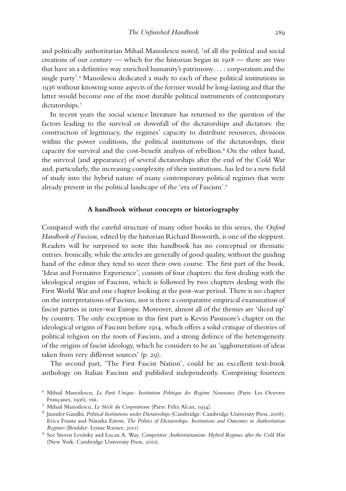and politically authoritarian Mihail Manoilescu noted, 'of all the political and social creations of our century — which for the historian began in 1918 — there are two that have in a definitive way enriched humanity's patrimony... : corporatism and the single party'.6 Manoilescu dedicated a study to each of these political institutions in 1936 without knowing some aspects of the former would be long-lasting and that the latter would become one of the most durable political instruments of contemporary dictatorships.<sup>7</sup>

In recent years the social science literature has returned to the question of the factors leading to the survival or downfall of the dictatorships and dictators: the construction of legitimacy, the regimes' capacity to distribute resources, divisions within the power coalitions, the political institutions of the dictatorships, their capacity for survival and the cost-benefit analysis of rebellion.8 On the other hand, the survival (and appearance) of several dictatorships after the end of the Cold War and, particularly, the increasing complexity of their institutions, has led to a new field of study into the hybrid nature of many contemporary political regimes that were already present in the political landscape of the 'era of Fascism'.9

#### **A handbook without concepts or historiography**

Compared with the careful structure of many other books in this series, the *Oxford Handbook of Fascism,* edited by the historian Richard Bosworth, is one of the sloppiest. Readers will be surprised to note this handbook has no conceptual or thematic entries. Ironically, while the articles are generally of good quality, without the guiding hand of the editor they tend to steer their own course. The first part of the book, 'Ideas and Formative Experience', consists of four chapters: the first dealing with the ideological origins of Fascism, which is followed by two chapters dealing with the First World War and one chapter looking at the post-war period. There is no chapter on the interpretations of Fascism, nor is there a comparative empirical examination of fascist parties in inter-war Europe. Moreover, almost all of the themes are 'sliced up' by country. The only exception in this first part is Kevin Passmore's chapter on the ideological origins of Fascism before 1914, which offers a solid critique of theories of political religion on the roots of Fascism, and a strong defence of the heterogeneity of the origins of fascist ideology, which he considers to be an 'agglomeration of ideas taken from very different sources' (p. 29).

The second part, 'The First Fascist Nation', could be an excellent text-book anthology on Italian Fascism and published independently. Comprising fourteen

<sup>6</sup> Mihail Manoilescu, *Le Parti Unique: Institution Politique des Regime Nouveaux* (Paris: Les Oeuvres Françaises, 1936), viii.

<sup>7</sup> Mihail Manoilescu, *Le Siècle du Corporatisme* (Paris: Félix Alcan, 1934).

<sup>8</sup> Jannifer Gandhi, *Political Institutions under Dictatorships* (Cambridge: Cambridge University Press, 2008); Erica Frantz and Natasha Ezrow, *The Politics of Dictatorships: Institutions and Outcomes in Authoritarian Regimes* (Boulder: Lynne Riener, 2011).

<sup>9</sup> See Steven Levitsky and Lucan A. Way, *Competitive Authoritarianism: Hybrid Regimes after the Cold War* (New York: Cambridge University Press, 2010).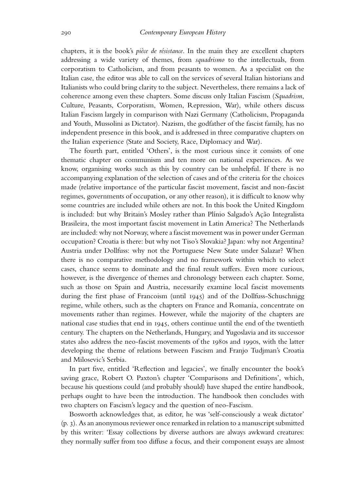chapters, it is the book's *pièce de résistance*. In the main they are excellent chapters addressing a wide variety of themes, from *squadrismo* to the intellectuals, from corporatism to Catholicism, and from peasants to women. As a specialist on the Italian case, the editor was able to call on the services of several Italian historians and Italianists who could bring clarity to the subject. Nevertheless, there remains a lack of coherence among even these chapters. Some discuss only Italian Fascism (*Squadrism*, Culture, Peasants, Corporatism, Women, Repression, War), while others discuss Italian Fascism largely in comparison with Nazi Germany (Catholicism, Propaganda and Youth, Mussolini as Dictator). Nazism, the godfather of the fascist family, has no independent presence in this book, and is addressed in three comparative chapters on the Italian experience (State and Society, Race, Diplomacy and War).

The fourth part, entitled 'Others', is the most curious since it consists of one thematic chapter on communism and ten more on national experiences. As we know, organising works such as this by country can be unhelpful. If there is no accompanying explanation of the selection of cases and of the criteria for the choices made (relative importance of the particular fascist movement, fascist and non-fascist regimes, governments of occupation, or any other reason), it is difficult to know why some countries are included while others are not. In this book the United Kingdom is included: but why Britain's Mosley rather than Plínio Salgado's Ação Integralista Brasileira, the most important fascist movement in Latin America? The Netherlands are included: why not Norway, where a fascist movement was in power under German occupation? Croatia is there: but why not Tiso's Slovakia? Japan: why not Argentina? Austria under Dollfuss: why not the Portuguese New State under Salazar? When there is no comparative methodology and no framework within which to select cases, chance seems to dominate and the final result suffers. Even more curious, however, is the divergence of themes and chronology between each chapter. Some, such as those on Spain and Austria, necessarily examine local fascist movements during the first phase of Francoism (until 1945) and of the Dollfuss-Schuschnigg regime, while others, such as the chapters on France and Romania, concentrate on movements rather than regimes. However, while the majority of the chapters are national case studies that end in 1945, others continue until the end of the twentieth century. The chapters on the Netherlands, Hungary, and Yugoslavia and its successor states also address the neo-fascist movements of the 1980s and 1990s, with the latter developing the theme of relations between Fascism and Franjo Tudjman's Croatia and Milosevic's Serbia.

In part five, entitled 'Reflection and legacies', we finally encounter the book's saving grace, Robert O. Paxton's chapter 'Comparisons and Definitions', which, because his questions could (and probably should) have shaped the entire handbook, perhaps ought to have been the introduction. The handbook then concludes with two chapters on Fascism's legacy and the question of neo-Fascism.

Bosworth acknowledges that, as editor, he was 'self-consciously a weak dictator' (p. 3). As an anonymous reviewer once remarked in relation to a manuscript submitted by this writer: 'Essay collections by diverse authors are always awkward creatures: they normally suffer from too diffuse a focus, and their component essays are almost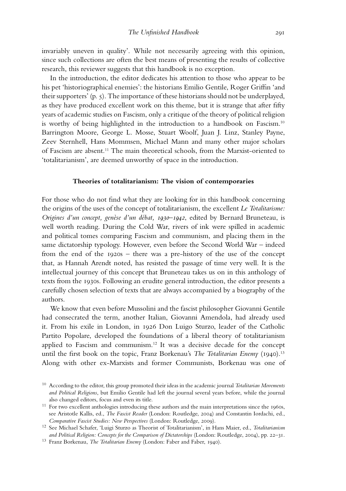invariably uneven in quality'. While not necessarily agreeing with this opinion, since such collections are often the best means of presenting the results of collective research, this reviewer suggests that this handbook is no exception.

In the introduction, the editor dedicates his attention to those who appear to be his pet 'historiographical enemies': the historians Emilio Gentile, Roger Griffin 'and their supporters'  $(p, s)$ . The importance of these historians should not be underplayed, as they have produced excellent work on this theme, but it is strange that after fifty years of academic studies on Fascism, only a critique of the theory of political religion is worthy of being highlighted in the introduction to a handbook on Fascism.<sup>10</sup> Barrington Moore, George L. Mosse, Stuart Woolf, Juan J. Linz, Stanley Payne, Zeev Sternhell, Hans Mommsen, Michael Mann and many other major scholars of Fascism are absent.11 The main theoretical schools, from the Marxist-oriented to 'totalitarianism', are deemed unworthy of space in the introduction.

#### **Theories of totalitarianism: The vision of contemporaries**

For those who do not find what they are looking for in this handbook concerning the origins of the uses of the concept of totalitarianism, the excellent *Le Totalitarisme: Origines d'un concept, genèse d'un débat, 1930–1942*, edited by Bernard Bruneteau, is well worth reading. During the Cold War, rivers of ink were spilled in academic and political tomes comparing Fascism and communism, and placing them in the same dictatorship typology. However, even before the Second World War – indeed from the end of the 1920s – there was a pre-history of the use of the concept that, as Hannah Arendt noted, has resisted the passage of time very well. It is the intellectual journey of this concept that Bruneteau takes us on in this anthology of texts from the 1930s. Following an erudite general introduction, the editor presents a carefully chosen selection of texts that are always accompanied by a biography of the authors.

We know that even before Mussolini and the fascist philosopher Giovanni Gentile had consecrated the term, another Italian, Giovanni Amendola, had already used it. From his exile in London, in 1926 Don Luigo Sturzo, leader of the Catholic Partito Popolare, developed the foundations of a liberal theory of totalitarianism applied to Fascism and communism.12 It was a decisive decade for the concept until the first book on the topic, Franz Borkenau's *The Totalitarian Enemy* (1940).<sup>13</sup> Along with other ex-Marxists and former Communists, Borkenau was one of

<sup>10</sup> According to the editor, this group promoted their ideas in the academic journal *Totalitarian Movements and Political Religions*, but Emilio Gentile had left the journal several years before, while the journal also changed editors, focus and even its title.

<sup>&</sup>lt;sup>11</sup> For two excellent anthologies introducing these authors and the main interpretations since the 1960s, see Aristotle Kallis, ed., *The Fascist Reader* (London: Routledge, 2004) and Constantin Iordachi, ed., *Comparative Fascist Studies: New Perspectives* (London: Routledge, 2009).

<sup>12</sup> See Michael Schafer, 'Luigi Sturzo as Theorist of Totalitarianism', in Hans Maier, ed., *Totalitarianism and Political Religion: Concepts for the Comparison of Dictatorships* (London: Routledge, 2004), pp. 22–31.

<sup>13</sup> Franz Borkenau, *The Totalitarian Enemy* (London: Faber and Faber, 1940).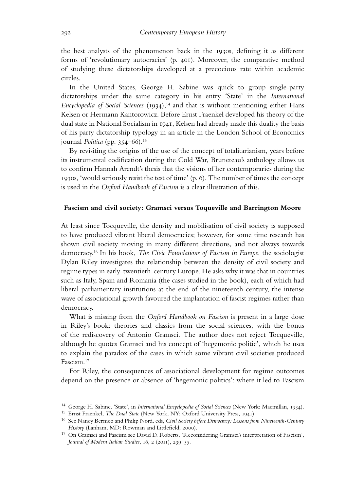the best analysts of the phenomenon back in the 1930s, defining it as different forms of 'revolutionary autocracies' (p. 401). Moreover, the comparative method of studying these dictatorships developed at a precocious rate within academic circles.

In the United States, George H. Sabine was quick to group single-party dictatorships under the same category in his entry 'State' in the *International Encyclopedia of Social Sciences* (1934),<sup>14</sup> and that is without mentioning either Hans Kelsen or Hermann Kantorowicz. Before Ernst Fraenkel developed his theory of the dual state in National Socialism in 1941, Kelsen had already made this duality the basis of his party dictatorship typology in an article in the London School of Economics journal *Politica* (pp. 354–66).15

By revisiting the origins of the use of the concept of totalitarianism, years before its instrumental codification during the Cold War, Bruneteau's anthology allows us to confirm Hannah Arendt's thesis that the visions of her contemporaries during the 1930s, 'would seriously resist the test of time' (p. 6). The number of times the concept is used in the *Oxford Handbook of Fascism* is a clear illustration of this.

### **Fascism and civil society: Gramsci versus Toqueville and Barrington Moore**

At least since Tocqueville, the density and mobilisation of civil society is supposed to have produced vibrant liberal democracies; however, for some time research has shown civil society moving in many different directions, and not always towards democracy.16 In his book, *The Civic Foundations of Fascism in Europe*, the sociologist Dylan Riley investigates the relationship between the density of civil society and regime types in early-twentieth-century Europe. He asks why it was that in countries such as Italy, Spain and Romania (the cases studied in the book), each of which had liberal parliamentary institutions at the end of the nineteenth century, the intense wave of associational growth favoured the implantation of fascist regimes rather than democracy.

What is missing from the *Oxford Handbook on Fascism* is present in a large dose in Riley's book: theories and classics from the social sciences, with the bonus of the rediscovery of Antonio Gramsci. The author does not reject Tocqueville, although he quotes Gramsci and his concept of 'hegemonic politic', which he uses to explain the paradox of the cases in which some vibrant civil societies produced Fascism.17

For Riley, the consequences of associational development for regime outcomes depend on the presence or absence of 'hegemonic politics': where it led to Fascism

<sup>14</sup> George H. Sabine, 'State', in *International Encyclopedia of Social Sciences* (New York: Macmillan, 1934).

<sup>15</sup> Ernst Fraenkel, *The Dual State* (New York, NY: Oxford University Press, 1941).

<sup>16</sup> See Nancy Bermeo and Philip Nord, eds, *Civil Society before Democracy: Lessons from Nineteenth-Century History* (Lanham, MD: Rowman and Littlefield, 2000).

<sup>17</sup> On Gramsci and Fascism see David D. Roberts, 'Reconsidering Gramsci's interpretation of Fascism', *Journal of Modern Italian Studies*, 16, 2 (2011), 239–55.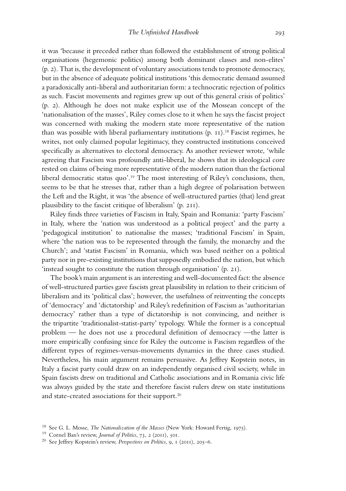it was 'because it preceded rather than followed the establishment of strong political organisations (hegemonic politics) among both dominant classes and non-elites' (p. 2). That is, the development of voluntary associations tends to promote democracy, but in the absence of adequate political institutions 'this democratic demand assumed a paradoxically anti-liberal and authoritarian form: a technocratic rejection of politics as such. Fascist movements and regimes grew up out of this general crisis of politics' (p. 2). Although he does not make explicit use of the Mossean concept of the 'nationalisation of the masses', Riley comes close to it when he says the fascist project was concerned with making the modern state more representative of the nation than was possible with liberal parliamentary institutions (p. 11).18 Fascist regimes, he writes, not only claimed popular legitimacy, they constructed institutions conceived specifically as alternatives to electoral democracy. As another reviewer wrote, 'while agreeing that Fascism was profoundly anti-liberal, he shows that its ideological core rested on claims of being more representative of the modern nation than the factional liberal democratic status quo'.<sup>19</sup> The most interesting of Riley's conclusions, then, seems to be that he stresses that, rather than a high degree of polarisation between the Left and the Right, it was 'the absence of well-structured parties (that) lend great plausibility to the fascist critique of liberalism' (p. 211).

Riley finds three varieties of Fascism in Italy, Spain and Romania: 'party Fascism' in Italy, where the 'nation was understood as a political project' and the party a 'pedagogical institution' to nationalise the masses; 'traditional Fascism' in Spain, where 'the nation was to be represented through the family, the monarchy and the Church'; and 'statist Fascism' in Romania, which was based neither on a political party nor in pre-existing institutions that supposedly embodied the nation, but which 'instead sought to constitute the nation through organisation' (p. 21).

The book's main argument is an interesting and well-documented fact: the absence of well-structured parties gave fascists great plausibility in relation to their criticism of liberalism and its 'political class'; however, the usefulness of reinventing the concepts of 'democracy' and 'dictatorship' and Riley's redefinition of Fascism as 'authoritarian democracy' rather than a type of dictatorship is not convincing, and neither is the tripartite 'traditionalist-statist-party' typology. While the former is a conceptual problem — he does not use a procedural definition of democracy —the latter is more empirically confusing since for Riley the outcome is Fascism regardless of the different types of regimes-versus-movements dynamics in the three cases studied. Nevertheless, his main argument remains persuasive. As Jeffrey Kopstein notes, in Italy a fascist party could draw on an independently organised civil society, while in Spain fascists drew on traditional and Catholic associations and in Romania civic life was always guided by the state and therefore fascist rulers drew on state institutions and state-created associations for their support.20

<sup>18</sup> See G. L. Mosse, *The Nationalization of the Masses* (New York: Howard Fertig, 1975).

<sup>19</sup> Cornel Ban's review, *Journal of Politics*, 73, 2 (2011), 501.

<sup>20</sup> See Jeffrey Kopstein's review, *Perspectives on Politics*, 9, 1 (2011), 205–6.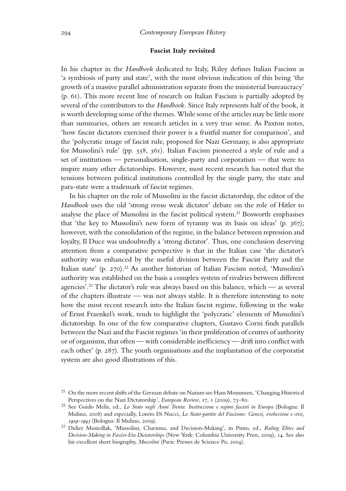#### **Fascist Italy revisited**

In his chapter in the *Handbook* dedicated to Italy, Riley defines Italian Fascism as 'a symbiosis of party and state', with the most obvious indication of this being 'the growth of a massive parallel administration separate from the ministerial bureaucracy' (p. 61). This more recent line of research on Italian Fascism is partially adopted by several of the contributors to the *Handbook.* Since Italy represents half of the book, it is worth developing some of the themes. While some of the articles may be little more than summaries, others are research articles in a very true sense. As Paxton notes, 'how fascist dictators exercised their power is a fruitful matter for comparison', and the 'polycratic image of fascist rule, proposed for Nazi Germany, is also appropriate for Mussolini's rule' (pp. 558, 561). Italian Fascism pioneered a style of rule and a set of institutions — personalisation, single-party and corporatism — that were to inspire many other dictatorships. However, most recent research has noted that the tensions between political institutions controlled by the single party, the state and para-state were a trademark of fascist regimes.

In his chapter on the role of Mussolini in the fascist dictatorship, the editor of the *Handbook* uses the old 'strong *versus* weak dictator' debate on the role of Hitler to analyse the place of Mussolini in the fascist political system.21 Bosworth emphasises that 'the key to Mussolini's new form of tyranny was its basis on ideas' (p. 367); however, with the consolidation of the regime, in the balance between repression and loyalty, Il Duce was undoubtedly a 'strong dictator'. Thus, one conclusion deserving attention from a comparative perspective is that in the Italian case 'the dictator's authority was enhanced by the useful division between the Fascist Party and the Italian state' (p. 270).<sup>22</sup> As another historian of Italian Fascism noted, 'Mussolini's authority was established on the basis a complex system of rivalries between different agencies'.<sup>23</sup> The dictator's rule was always based on this balance, which  $\frac{1}{1}$  as several of the chapters illustrate — was not always stable. It is therefore interesting to note how the most recent research into the Italian fascist regime, following in the wake of Ernst Fraenkel's work, tends to highlight the 'polycratic' elements of Mussolini's dictatorship. In one of the few comparative chapters, Gustavo Corni finds parallels between the Nazi and the Fascist regimes 'in their proliferation of centres of authority or of organisms, that often — with considerable inefficiency — drift into conflict with each other' (p. 287). The youth organisations and the implantation of the corporatist system are also good illustrations of this.

<sup>&</sup>lt;sup>21</sup> On the more recent shifts of the German debate on Nazism see Hans Mommsen, 'Changing Historical Perspectives on the Nazi Dictatorship', *European Review*, 17, 1 (2009), 73–80.

<sup>22</sup> See Guido Melis, ed., *Lo Stato negli Anni Trenta: Instituzione e regimi fascisti in Europa* (Bologna: Il Mulino, 2008) and especially, Loreto Di Nucci, *Lo Stato-partito del Fascismo: Genesi, evoluzione e crisi, 1919–1943* (Bologna: Il Mulino, 2009).

<sup>23</sup> Didier Musiedlak, 'Mussolini, Charisma, and Decision-Making', in Pinto, ed., *Ruling Elites and Decision-Making in Fascist-Era Dictatorships* (New York: Columbia University Press, 2009), 14. See also his excellent short biography, *Mussolini* (Paris: Presses de Science Po, 2004).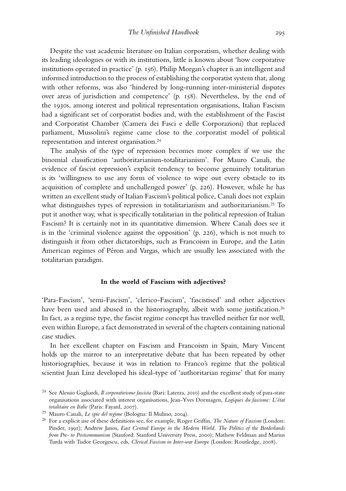Despite the vast academic literature on Italian corporatism, whether dealing with its leading ideologues or with its institutions, little is known about 'how corporative institutions operated in practice' (p. 156). Philip Morgan's chapter is an intelligent and informed introduction to the process of establishing the corporatist system that, along with other reforms, was also 'hindered by long-running inter-ministerial disputes over areas of jurisdiction and competence' (p. 158). Nevertheless, by the end of the 1930s, among interest and political representation organisations, Italian Fascism had a significant set of corporatist bodies and, with the establishment of the Fascist and Corporatist Chamber (Camera dei Fasci e delle Corporazioni) that replaced parliament, Mussolini's regime came close to the corporatist model of political representation and interest organisation.24

The analysis of the type of repression becomes more complex if we use the binomial classification 'authoritarianism-totalitarianism'. For Mauro Canali, the evidence of fascist repression's explicit tendency to become genuinely totalitarian is its 'willingness to use any form of violence to wipe out every obstacle to its acquisition of complete and unchallenged power' (p. 226). However, while he has written an excellent study of Italian Fascism's political police, Canali does not explain what distinguishes types of repression in totalitarianism and authoritarianism.<sup>25</sup> To put it another way, what is specifically totalitarian in the political repression of Italian Fascism? It is certainly not in its quantitative dimension. Where Canali does see it is in the 'criminal violence against the opposition' (p. 226), which is not much to distinguish it from other dictatorships, such as Francoism in Europe, and the Latin American regimes of Péron and Vargas, which are usually less associated with the totalitarian paradigm.

#### **In the world of Fascism with adjectives?**

'Para-Fascism', 'semi-Fascism', 'clerico-Fascism', 'fascistised' and other adjectives have been used and abused in the historiography, albeit with some justification.<sup>26</sup> In fact, as a regime type, the fascist regime concept has travelled neither far nor well, even within Europe, a fact demonstrated in several of the chapters containing national case studies.

In her excellent chapter on Fascism and Francoism in Spain, Mary Vincent holds up the mirror to an interpretative debate that has been repeated by other historiographies, because it was in relation to Franco's regime that the political scientist Juan Linz developed his ideal-type of 'authoritarian regime' that for many

<sup>24</sup> See Alessio Gagliardi, *Il corporativismo fascista* (Bari: Laterza, 2010) and the excellent study of para-state organisations associated with interest organisations, Jean-Yves Dormagen, *Logiques du fascisme: L'état totalitaire en Italie* (Paris: Fayard, 2007).

<sup>25</sup> Mauro Canali, *Le spie del regime* (Bologna: Il Mulino, 2004).

<sup>26</sup> For a explicit use of these definitions see, for example, Roger Griffin, *The Nature of Fascism* (London: Pinder, 1991); Andrew Janos, *East Central Europe in the Modern World. The Politics of the Borderlands from Pre- to Postcommunism* (Stanford: Stanford University Press, 2000); Mathew Feldman and Marius Turda with Tudor Georgescu, eds, *Clerical Fascism in Inter-war Europe* (London: Routledge, 2008).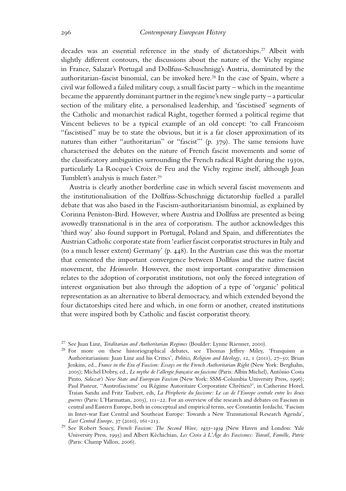decades was an essential reference in the study of dictatorships.27 Albeit with slightly different contours, the discussions about the nature of the Vichy regime in France, Salazar's Portugal and Dollfuss-Schuschnigg's Austria, dominated by the authoritarian-fascist binomial, can be invoked here.28 In the case of Spain, where a civil war followed a failed military coup, a small fascist party – which in the meantime became the apparently dominant partner in the regime's new single party – a particular section of the military elite, a personalised leadership, and 'fascistised' segments of the Catholic and monarchist radical Right, together formed a political regime that Vincent believes to be a typical example of an old concept: 'to call Francoism "fascistised" may be to state the obvious, but it is a far closer approximation of its natures than either "authoritarian" or "fascist"' (p. 379). The same tensions have characterised the debates on the nature of French fascist movements and some of the classificatory ambiguities surrounding the French radical Right during the 1930s, particularly La Rocque's Croix de Feu and the Vichy regime itself, although Joan Tumblett's analysis is much faster.29

Austria is clearly another borderline case in which several fascist movements and the institutionalisation of the Dollfuss-Schuschnigg dictatorship fuelled a parallel debate that was also based in the Fascism-authoritarianism binomial, as explained by Corinna Peniston-Bird. However, where Austria and Dollfuss are presented as being avowedly transnational is in the area of corporatism. The author acknowledges this 'third way' also found support in Portugal, Poland and Spain, and differentiates the Austrian Catholic corporate state from 'earlier fascist corporatist structures in Italy and (to a much lesser extent) Germany' (p. 448). In the Austrian case this was the mortar that cemented the important convergence between Dollfuss and the native fascist movement, the *Heimwehr*. However, the most important comparative dimension relates to the adoption of corporatist institutions, not only the forced integration of interest organisation but also through the adoption of a type of 'organic' political representation as an alternative to liberal democracy, and which extended beyond the four dictatorships cited here and which, in one form or another, created institutions that were inspired both by Catholic and fascist corporatist theory.

<sup>27</sup> See Juan Linz, *Totalitarian and Authoritarian Regimes* (Boulder: Lynne Rienner, 2000).

<sup>28</sup> For more on these historiographical debates, see Thomas Jeffrey Miley, 'Franquism as Authoritarianism: Juan Linz and his Critics', *Politics, Religion and Ideology*, 12, 1 (2011), 27–50; Brian Jenkins, ed., *France in the Era of Fascism: Essays on the French Authoritarian Right* (New York: Berghahn, 2005); Michel Dobry, ed., *Le mythe de l'allergie française au fascisme* (Paris: Albin Michel), António Costa Pinto, *Salazar's New State and European Fascism* (New York: SSM-Columbia University Press, 1996); Paul Pasteur, ''Austrofascisme' ou Régime Autoritaire Corporatiste Chrétien?', in Catherine Horel, Traian Sandu and Fritz Taubert, eds, *La Péripherie du fascisme: Le cas de l'Europe centrale entre les deux guerres* (Paris: L'Harmattan, 2005), 111–22. For an overview of the research and debates on Fascism in central and Eastern Europe, both in conceptual and empirical terms, see Constantin Iordachi, 'Fascism in Inter-war East Central and Southeast Europe: Towards a New Transnational Research Agenda', *East Central Europe*, 37 (2010), 161–213.

<sup>29</sup> See Robert Soucy, *French Fascism: The Second Wave, 1933–1939* (New Haven and London: Yale University Press, 1995) and Albert Kéchichian, *Les Croix à L'Âge des Fascismes: Travail, Famille, Patrie* (Paris: Champ Vallon, 2006).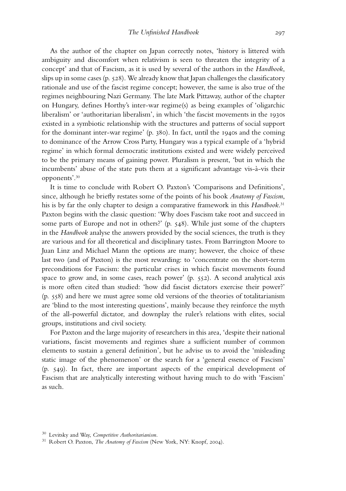As the author of the chapter on Japan correctly notes, 'history is littered with ambiguity and discomfort when relativism is seen to threaten the integrity of a concept' and that of Fascism, as it is used by several of the authors in the *Handbook*, slips up in some cases (p.  $528$ ). We already know that Japan challenges the classificatory rationale and use of the fascist regime concept; however, the same is also true of the regimes neighbouring Nazi Germany. The late Mark Pittaway, author of the chapter on Hungary, defines Horthy's inter-war regime(s) as being examples of 'oligarchic liberalism' or 'authoritarian liberalism', in which 'the fascist movements in the 1930s existed in a symbiotic relationship with the structures and patterns of social support for the dominant inter-war regime' (p. 380). In fact, until the 1940s and the coming to dominance of the Arrow Cross Party, Hungary was a typical example of a 'hybrid regime' in which formal democratic institutions existed and were widely perceived to be the primary means of gaining power. Pluralism is present, 'but in which the incumbents' abuse of the state puts them at a significant advantage vis-à-vis their opponents'.30

It is time to conclude with Robert O. Paxton's 'Comparisons and Definitions', since, although he briefly restates some of the points of his book *Anatomy of Fascism*, his is by far the only chapter to design a comparative framework in this *Handbook*. 31 Paxton begins with the classic question: 'Why does Fascism take root and succeed in some parts of Europe and not in others?' (p. 548). While just some of the chapters in the *Handbook* analyse the answers provided by the social sciences, the truth is they are various and for all theoretical and disciplinary tastes. From Barrington Moore to Juan Linz and Michael Mann the options are many; however, the choice of these last two (and of Paxton) is the most rewarding: to 'concentrate on the short-term preconditions for Fascism: the particular crises in which fascist movements found space to grow and, in some cases, reach power' (p. 552). A second analytical axis is more often cited than studied: 'how did fascist dictators exercise their power?' (p. 558) and here we must agree some old versions of the theories of totalitarianism are 'blind to the most interesting questions', mainly because they reinforce the myth of the all-powerful dictator, and downplay the ruler's relations with elites, social groups, institutions and civil society.

For Paxton and the large majority of researchers in this area, 'despite their national variations, fascist movements and regimes share a sufficient number of common elements to sustain a general definition', but he advise us to avoid the 'misleading static image of the phenomenon' or the search for a 'general essence of Fascism' (p. 549). In fact, there are important aspects of the empirical development of Fascism that are analytically interesting without having much to do with 'Fascism' as such.

<sup>30</sup> Levitsky and Way, *Competitive Authoritarianism*.

<sup>31</sup> Robert O. Paxton, *The Anatomy of Fascism* (New York, NY: Knopf, 2004).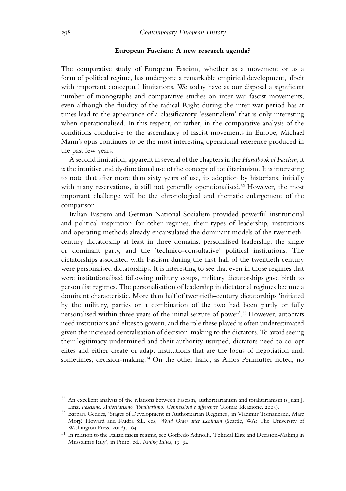### **European Fascism: A new research agenda?**

The comparative study of European Fascism, whether as a movement or as a form of political regime, has undergone a remarkable empirical development, albeit with important conceptual limitations. We today have at our disposal a significant number of monographs and comparative studies on inter-war fascist movements, even although the fluidity of the radical Right during the inter-war period has at times lead to the appearance of a classificatory 'essentialism' that is only interesting when operationalised. In this respect, or rather, in the comparative analysis of the conditions conducive to the ascendancy of fascist movements in Europe, Michael Mann's opus continues to be the most interesting operational reference produced in the past few years.

A second limitation, apparent in several of the chapters in the *Handbook of Fascism*, it is the intuitive and dysfunctional use of the concept of totalitarianism. It is interesting to note that after more than sixty years of use, its adoption by historians, initially with many reservations, is still not generally operationalised.<sup>32</sup> However, the most important challenge will be the chronological and thematic enlargement of the comparison.

Italian Fascism and German National Socialism provided powerful institutional and political inspiration for other regimes, their types of leadership, institutions and operating methods already encapsulated the dominant models of the twentiethcentury dictatorship at least in three domains: personalised leadership, the single or dominant party, and the 'technico-consultative' political institutions. The dictatorships associated with Fascism during the first half of the twentieth century were personalised dictatorships. It is interesting to see that even in those regimes that were institutionalised following military coups, military dictatorships gave birth to personalist regimes. The personalisation of leadership in dictatorial regimes became a dominant characteristic. More than half of twentieth-century dictatorships 'initiated by the military, parties or a combination of the two had been partly or fully personalised within three years of the initial seizure of power'.33 However, autocrats need institutions and elites to govern, and the role these played is often underestimated given the increased centralisation of decision-making to the dictators. To avoid seeing their legitimacy undermined and their authority usurped, dictators need to co-opt elites and either create or adapt institutions that are the locus of negotiation and, sometimes, decision-making.<sup>34</sup> On the other hand, as Amos Perlmutter noted, no

<sup>&</sup>lt;sup>32</sup> An excellent analysis of the relations between Fascism, authoritarianism and totalitarianism is Juan J. Linz, *Fascismo, Autoritarismo, Totalitarismo: Connessioni e differenze* (Roma: Ideazione, 2003).

<sup>33</sup> Barbara Geddes, 'Stages of Development in Authoritarian Regimes', in Vladimir Tismaneanu, Marc Morjé Howard and Rudra Sill, eds, *World Order after Leninism* (Seattle, WA: The University of Washington Press, 2006), 164.

<sup>34</sup> In relation to the Italian fascist regime, see Goffredo Adinolfi, 'Political Elite and Decision-Making in Mussolini's Italy', in Pinto, ed., *Ruling Elites*, 19–54.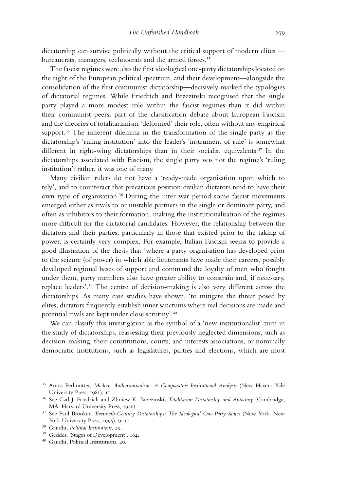dictatorship can survive politically without the critical support of modern elites bureaucrats, managers, technocrats and the armed forces.35

The fascist regimes were also the first ideological one-party dictatorships located on the right of the European political spectrum, and their development—alongside the consolidation of the first communist dictatorship—decisively marked the typologies of dictatorial regimes. While Friedrich and Brzezinski recognised that the single party played a more modest role within the fascist regimes than it did within their communist peers, part of the classification debate about European Fascism and the theories of totalitarianism 'deformed' their role, often without any empirical support.<sup>36</sup> The inherent dilemma in the transformation of the single party as the dictatorship's 'ruling institution' into the leader's 'instrument of rule' is somewhat different in right-wing dictatorships than in their socialist equivalents.<sup>37</sup> In the dictatorships associated with Fascism, the single party was not the regime's 'ruling institution': rather, it was one of many.

Many civilian rulers do not have a 'ready-made organisation upon which to rely', and to counteract that precarious position civilian dictators tend to have their own type of organisation.38 During the inter-war period some fascist movements emerged either as rivals to or unstable partners in the single or dominant party, and often as inhibitors to their formation, making the institutionalisation of the regimes more difficult for the dictatorial candidates. However, the relationship between the dictators and their parties, particularly in those that existed prior to the taking of power, is certainly very complex. For example, Italian Fascism seems to provide a good illustration of the thesis that 'where a party organisation has developed prior to the seizure (of power) in which able lieutenants have made their careers, possibly developed regional bases of support and command the loyalty of men who fought under them, party members also have greater ability to constrain and, if necessary, replace leaders'.39 The centre of decision-making is also very different across the dictatorships. As many case studies have shown, 'to mitigate the threat posed by elites, dictators frequently establish inner sanctums where real decisions are made and potential rivals are kept under close scrutiny'.40

We can classify this investigation as the symbol of a 'new institutionalist' turn in the study of dictatorships, reassessing their previously neglected dimensions, such as decision-making, their constitutions, courts, and interests associations, or nominally democratic institutions, such as legislatures, parties and elections, which are most

- <sup>38</sup> Gandhi, *Political Institutions*, 29.
- <sup>39</sup> Geddes, 'Stages of Development', 164.
- <sup>40</sup> Gandhi, Political Institutions, 20.

<sup>35</sup> Amos Perlmutter, *Modern Authoritarianism: A Comparative Institutional Analysis* (New Haven: Yale University Press, 1981), 11.

<sup>36</sup> See Carl J. Friedrich and Zbniew K. Brzezinski, *Totalitarian Dictatorship and Autocracy* (Cambridge, MA: Harvard University Press, 1956).

<sup>37</sup> See Paul Brooker, *Twentieth-Century Dictatorships: The Ideological One-Party States* (New York: New York University Press, 1995), 9-10.